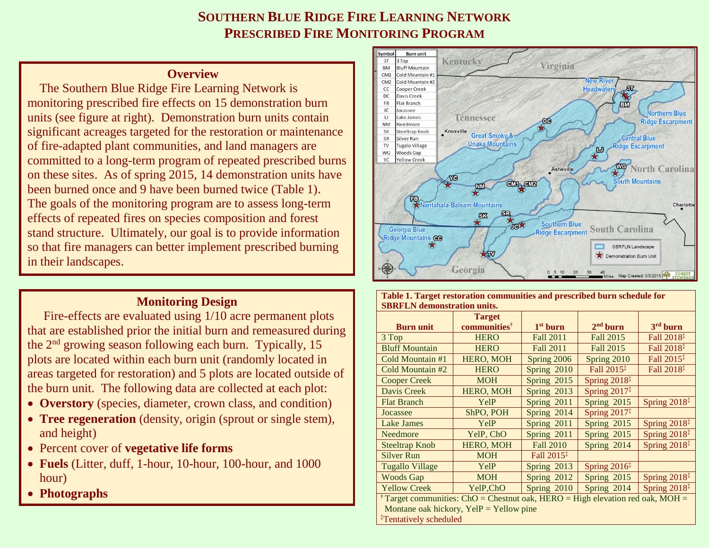## **SOUTHERN BLUE RIDGE FIRE LEARNING NETWORK PRESCRIBED FIRE MONITORING PROGRAM**

## **Overview**

The Southern Blue Ridge Fire Learning Network is monitoring prescribed fire effects on 15 demonstration burn units (see figure at right). Demonstration burn units contain significant acreages targeted for the restoration or maintenance of fire-adapted plant communities, and land managers are committed to a long-term program of repeated prescribed burns on these sites. As of spring 2015, 14 demonstration units have been burned once and 9 have been burned twice (Table 1). The goals of the monitoring program are to assess long-term effects of repeated fires on species composition and forest stand structure. Ultimately, our goal is to provide information so that fire managers can better implement prescribed burning in their landscapes.

## **Monitoring Design**

Fire-effects are evaluated using 1/10 acre permanent plots that are established prior the initial burn and remeasured during the 2nd growing season following each burn. Typically, 15 plots are located within each burn unit (randomly located in areas targeted for restoration) and 5 plots are located outside of the burn unit. The following data are collected at each plot:

- **Overstory** (species, diameter, crown class, and condition)
- **Tree regeneration** (density, origin (sprout or single stem), and height)
- Percent cover of **vegetative life forms**
- **Fuels** (Litter, duff, 1-hour, 10-hour, 100-hour, and 1000 hour)
- **Photographs**



| Table 1. Target restoration communities and prescribed burn schedule for                  |                          |                        |                          |                          |
|-------------------------------------------------------------------------------------------|--------------------------|------------------------|--------------------------|--------------------------|
| <b>SBRFLN</b> demonstration units.                                                        |                          |                        |                          |                          |
|                                                                                           | <b>Target</b>            |                        |                          |                          |
| <b>Burn unit</b>                                                                          | communities <sup>†</sup> | $1st$ burn             | $2nd$ burn               | 3rd burn                 |
| 3 Top                                                                                     | <b>HERO</b>              | <b>Fall 2011</b>       | Fall 2015                | Fall 2018 <sup>‡</sup>   |
| <b>Bluff Mountain</b>                                                                     | <b>HERO</b>              | <b>Fall 2011</b>       | Fall 2015                | Fall 2018 <sup>‡</sup>   |
| Cold Mountain #1                                                                          | HERO, MOH                | Spring 2006            | Spring 2010              | Fall 2015 <sup>‡</sup>   |
| Cold Mountain #2                                                                          | <b>HERO</b>              | Spring 2010            | Fall 2015 <sup>‡</sup>   | Fall 2018 <sup>‡</sup>   |
| <b>Cooper Creek</b>                                                                       | <b>MOH</b>               | Spring 2015            | Spring $2018‡$           |                          |
| Davis Creek                                                                               | <b>HERO, MOH</b>         | Spring 2013            | Spring $2017^{\ddagger}$ |                          |
| <b>Flat Branch</b>                                                                        | YelP                     | Spring 2011            | Spring 2015              | Spring 2018 <sup>‡</sup> |
| Jocassee                                                                                  | ShPO, POH                | Spring 2014            | Spring $2017^{\ddagger}$ |                          |
| <b>Lake James</b>                                                                         | YelP                     | Spring 2011            | Spring 2015              | Spring $2018‡$           |
| Needmore                                                                                  | YelP, ChO                | Spring 2011            | Spring 2015              | Spring $2018‡$           |
| <b>Steeltrap Knob</b>                                                                     | HERO, MOH                | <b>Fall 2010</b>       | Spring 2014              | Spring $2018‡$           |
| <b>Silver Run</b>                                                                         | <b>MOH</b>               | Fall $2015^{\ddagger}$ |                          |                          |
| <b>Tugallo Village</b>                                                                    | YelP                     | Spring 2013            | Spring $2016‡$           |                          |
| <b>Woods Gap</b>                                                                          | <b>MOH</b>               | Spring 2012            | Spring 2015              | Spring 2018 <sup>‡</sup> |
| <b>Yellow Creek</b>                                                                       | YelP, ChO                | Spring 2010            | Spring 2014              | Spring $2018‡$           |
| <sup>†</sup> Target communities: ChO = Chestnut oak, HERO = High elevation red oak, MOH = |                          |                        |                          |                          |
| Montane oak hickory, $YellP = Yellow$ pine                                                |                          |                        |                          |                          |
| <sup>‡</sup> Tentatively scheduled                                                        |                          |                        |                          |                          |